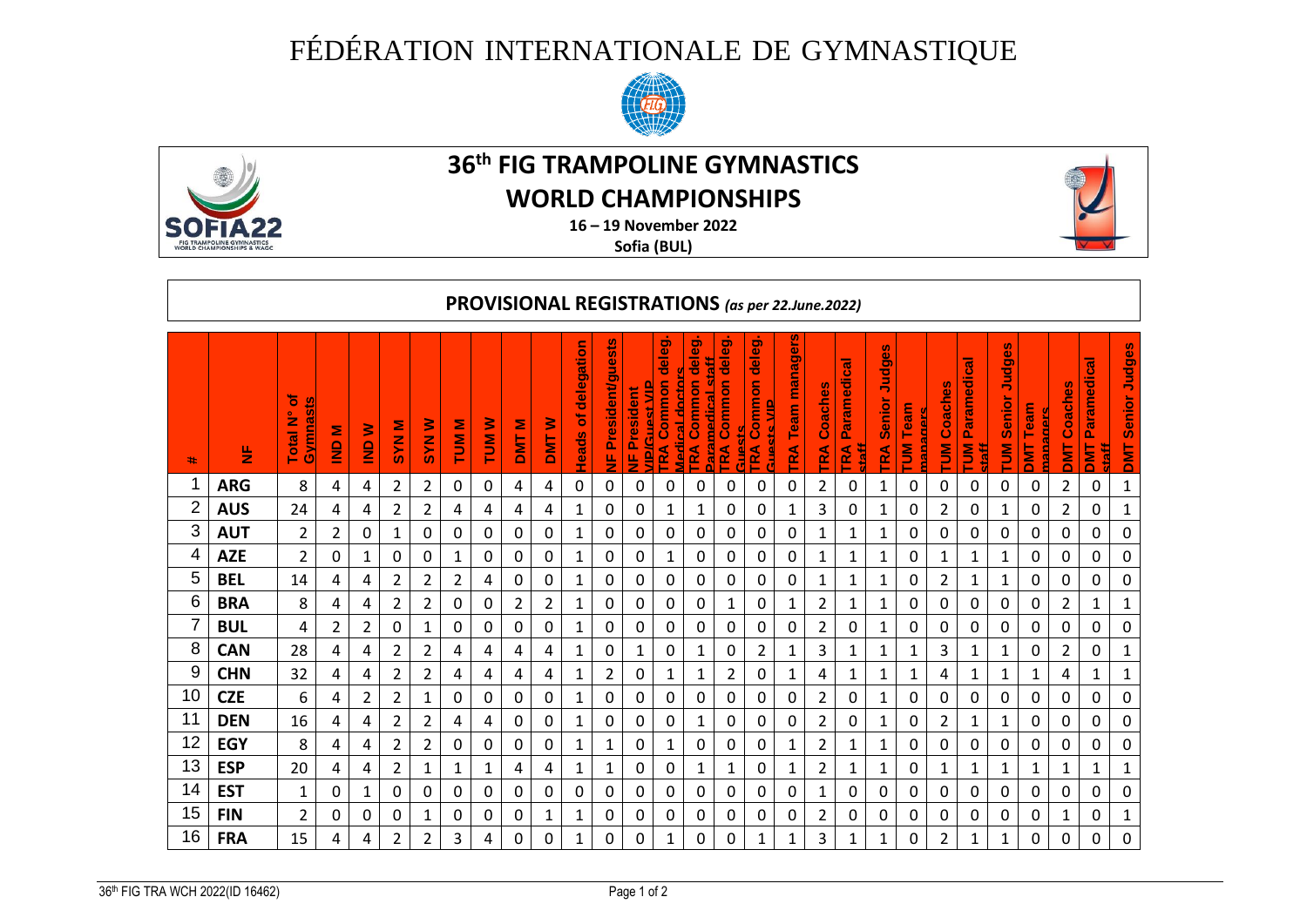## FÉDÉRATION INTERNATIONALE DE GYMNASTIQUE





## **36 th FIG TRAMPOLINE GYMNASTICS**

## **WORLD CHAMPIONSHIPS**



**16 – 19 November 2022**

**Sofia (BUL)**

| PROVISIONAL REGISTRATIONS (as per 22.June.2022) |            |                                  |                    |                    |                     |                  |                 |                         |                 |                 |                          |                                  |                                              |                                                |                                                                    |                                              |                                                    |                            |                   |                                          |                        |                                             |                           |                                      |                                                     |                                          |                        |                                                 |                                |
|-------------------------------------------------|------------|----------------------------------|--------------------|--------------------|---------------------|------------------|-----------------|-------------------------|-----------------|-----------------|--------------------------|----------------------------------|----------------------------------------------|------------------------------------------------|--------------------------------------------------------------------|----------------------------------------------|----------------------------------------------------|----------------------------|-------------------|------------------------------------------|------------------------|---------------------------------------------|---------------------------|--------------------------------------|-----------------------------------------------------|------------------------------------------|------------------------|-------------------------------------------------|--------------------------------|
| <b>*</b>                                        | 딸          | ъ<br><u>Gymnasts</u><br>Total N° | Ξ<br>$\frac{1}{2}$ | ≧<br>$\frac{1}{2}$ | Ξ<br>N <sub>0</sub> | ₹<br>M<br>S<br>S | Ξ<br><b>MUT</b> | ≩<br>$\bar{\mathbf{5}}$ | Ξ<br><b>DMT</b> | ℥<br><b>TMC</b> | delegation<br>Ъ<br>Heads | Ø.<br>w<br>Ë<br>President/g<br>뚱 | <u> AlPiGuest VIP</u><br><b>VF President</b> | deleg.<br>Medical doctors<br>Common<br>RA<br>н | deleg.<br>Ħ<br><b>TRA Common</b><br><b>Lealing to Paragent Cal</b> | deleg.<br><b>FRA Common</b><br><b>Guests</b> | deleg.<br>ommon<br><u>ally about</u><br><b>TRA</b> | gers<br>mana<br>Team<br>RA | n<br>Coache<br>RA | Paramedical<br><b>TRA</b><br><b>Haff</b> | Judges<br>Senior<br>RÃ | Team<br>nananers<br>$\overline{\mathbf{5}}$ | m<br>Coaches<br>$\bar{5}$ | <b>UM Paramedical</b><br><b>Haff</b> | 89<br><b>B</b><br>Senior<br>$\overline{\mathsf{s}}$ | eam<br><u>ananars</u><br>F<br><b>TIN</b> | Coaches<br><b>TINU</b> | <b>Paramedical</b><br><b>EML</b><br><u>Hata</u> | Judges<br>Senior<br><b>TMD</b> |
| 1                                               | <b>ARG</b> | 8                                | 4                  | 4                  | $\overline{2}$      | 2                | 0               | 0                       | 4               | 4               | 0                        | 0                                | $\mathbf 0$                                  | 0                                              | 0                                                                  | 0                                            | 0                                                  | 0                          | 2                 | 0                                        | 1                      | 0                                           | 0                         | 0                                    | 0                                                   | 0                                        | $\overline{2}$         | 0                                               | $\mathbf{1}$                   |
| $\overline{2}$                                  | <b>AUS</b> | 24                               | 4                  | 4                  | $\overline{2}$      | $\overline{2}$   | 4               | 4                       | 4               | 4               | $\mathbf{1}$             | 0                                | 0                                            | 1                                              | 1                                                                  | 0                                            | $\mathbf 0$                                        | 1                          | 3                 | 0                                        | 1                      | 0                                           | $\overline{2}$            | 0                                    | 1                                                   | 0                                        | $\overline{2}$         | 0                                               | $\mathbf 1$                    |
| 3                                               | <b>AUT</b> | $\overline{2}$                   | 2                  | 0                  | 1                   | 0                | 0               | 0                       | 0               | 0               | 1                        | 0                                | 0                                            | 0                                              | 0                                                                  | 0                                            | 0                                                  | 0                          | 1                 | 1                                        | 1                      | 0                                           | 0                         | 0                                    | 0                                                   | 0                                        | 0                      | 0                                               | 0                              |
| 4                                               | <b>AZE</b> | $\overline{2}$                   | 0                  | $\mathbf{1}$       | 0                   | 0                | $\mathbf{1}$    | 0                       | 0               | 0               | $\mathbf{1}$             | 0                                | 0                                            | 1                                              | 0                                                                  | 0                                            | 0                                                  | 0                          | 1                 | $\mathbf{1}$                             | 1                      | 0                                           | 1                         | 1                                    | 1                                                   | 0                                        | 0                      | 0                                               | 0                              |
| 5                                               | <b>BEL</b> | 14                               | 4                  | 4                  | $\overline{2}$      | $\overline{2}$   | $\overline{2}$  | 4                       | 0               | 0               | 1                        | 0                                | 0                                            | 0                                              | 0                                                                  | 0                                            | 0                                                  | 0                          | 1                 | 1                                        | 1                      | 0                                           | $\overline{2}$            | 1                                    | 1                                                   | 0                                        | 0                      | 0                                               | 0                              |
| $6\phantom{1}6$                                 | <b>BRA</b> | 8                                | 4                  | 4                  | $\overline{2}$      | $\overline{2}$   | 0               | 0                       | $\overline{2}$  | $\overline{2}$  | 1                        | 0                                | $\mathbf 0$                                  | 0                                              | 0                                                                  | 1                                            | 0                                                  | 1                          | $\overline{2}$    | 1                                        | 1                      | 0                                           | 0                         | 0                                    | 0                                                   | 0                                        | $\overline{2}$         | 1                                               | $\mathbf{1}$                   |
| $\overline{7}$                                  | <b>BUL</b> | 4                                | 2                  | 2                  | 0                   | 1                | 0               | 0                       | 0               | 0               | 1                        | 0                                | 0                                            | 0                                              | 0                                                                  | 0                                            | 0                                                  | 0                          | 2                 | 0                                        | 1                      | 0                                           | 0                         | 0                                    | 0                                                   | 0                                        | 0                      | 0                                               | 0                              |
| 8                                               | <b>CAN</b> | 28                               | 4                  | 4                  | $\overline{2}$      | $\overline{2}$   | 4               | 4                       | 4               | 4               | 1                        | 0                                | 1                                            | 0                                              | 1                                                                  | 0                                            | 2                                                  | 1                          | 3                 | 1                                        | 1                      | 1                                           | 3                         | 1                                    | 1                                                   | 0                                        | $\overline{2}$         | 0                                               | $\mathbf{1}$                   |
| 9                                               | <b>CHN</b> | 32                               | 4                  | 4                  | $\overline{2}$      | $\overline{2}$   | 4               | 4                       | 4               | 4               | 1                        | $\overline{2}$                   | 0                                            | 1                                              | 1                                                                  | 2                                            | $\boldsymbol{0}$                                   | 1                          | 4                 | $\mathbf{1}$                             | 1                      | $\mathbf{1}$                                | 4                         | 1                                    | 1                                                   | 1                                        | 4                      | 1                                               | $\mathbf{1}$                   |
| 10                                              | <b>CZE</b> | 6                                | 4                  | 2                  | $\overline{2}$      | 1                | 0               | 0                       | 0               | 0               | 1                        | 0                                | 0                                            | 0                                              | 0                                                                  | 0                                            | 0                                                  | 0                          | 2                 | 0                                        | 1                      | 0                                           | 0                         | 0                                    | 0                                                   | 0                                        | 0                      | 0                                               | 0                              |
| 11                                              | <b>DEN</b> | 16                               | 4                  | 4                  | $\overline{2}$      | 2                | 4               | 4                       | 0               | 0               | $\mathbf{1}$             | 0                                | 0                                            | 0                                              | 1                                                                  | 0                                            | 0                                                  | 0                          | 2                 | 0                                        | 1                      | 0                                           | $\overline{2}$            | $\mathbf{1}$                         | 1                                                   | 0                                        | 0                      | 0                                               | 0                              |
| 12                                              | <b>EGY</b> | 8                                | 4                  | 4                  | $\overline{2}$      | $\overline{2}$   | 0               | 0                       | 0               | 0               | 1                        | 1                                | 0                                            | 1                                              | 0                                                                  | 0                                            | 0                                                  | 1                          | $\overline{2}$    | $\mathbf{1}$                             | 1                      | 0                                           | 0                         | 0                                    | 0                                                   | 0                                        | 0                      | 0                                               | 0                              |
| 13                                              | <b>ESP</b> | 20                               | 4                  | 4                  | $\overline{2}$      | 1                | 1               | 1                       | 4               | 4               | 1                        | $\mathbf{1}$                     | 0                                            | 0                                              | 1                                                                  | 1                                            | 0                                                  | 1                          | 2                 | 1                                        | 1                      | 0                                           | $\mathbf{1}$              | 1                                    | 1                                                   | $\mathbf{1}$                             | $\mathbf{1}$           | 1                                               | $\mathbf{1}$                   |
| 14                                              | <b>EST</b> | $\mathbf{1}$                     | 0                  | $\mathbf{1}$       | 0                   | 0                | 0               | 0                       | 0               | 0               | 0                        | 0                                | 0                                            | 0                                              | 0                                                                  | 0                                            | 0                                                  | 0                          | 1                 | 0                                        | 0                      | 0                                           | 0                         | 0                                    | 0                                                   | 0                                        | 0                      | 0                                               | 0                              |
| 15                                              | <b>FIN</b> | 2                                | 0                  | 0                  | 0                   | 1                | 0               | 0                       | 0               | 1               | 1                        | 0                                | 0                                            | 0                                              | 0                                                                  | 0                                            | 0                                                  | 0                          | $\overline{2}$    | 0                                        | 0                      | 0                                           | 0                         | 0                                    | 0                                                   | 0                                        | 1                      | 0                                               | $\mathbf{1}$                   |
| 16                                              | <b>FRA</b> | 15                               | 4                  | 4                  | 2                   | 2                | 3               | 4                       | 0               | 0               | 1                        | 0                                | 0                                            | 1                                              | 0                                                                  | 0                                            | 1                                                  | 1                          | 3                 | $\mathbf{1}$                             | 1                      | 0                                           | $\overline{2}$            | $\mathbf 1$                          | 1                                                   | 0                                        | 0                      | 0                                               | 0                              |